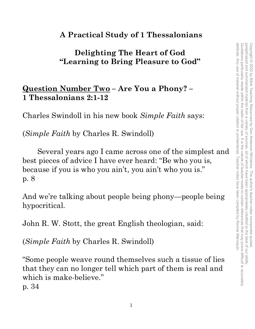## **A Practical Study of 1 Thessalonians**

## **Delighting The Heart of God "Learning to Bring Pleasure to God"**

## **Question Number Two – Are You a Phony? – 1 Thessalonians 2:1-12**

Charles Swindoll in his new book *Simple Faith* says:

(*Simple Faith* by Charles R. Swindoll)

Several years ago I came across one of the simplest and best pieces of advice I have ever heard: "Be who you is, because if you is who you ain't, you ain't who you is." p. 8

And we're talking about people being phony—people being hypocritical.

John R. W. Stott, the great English theologian, said:

(*Simple Faith* by Charles R. Swindoll)

"Some people weave round themselves such a tissue of lies that they can no longer tell which part of them is real and which is make-believe." p. 34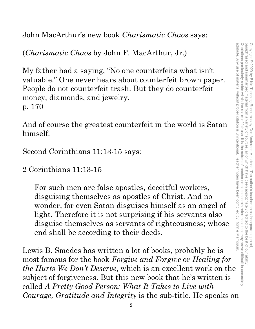John MacArthur's new book *Charismatic Chaos* says:

(*Charismatic Chaos* by John F. MacArthur, Jr.)

My father had a saying, "No one counterfeits what isn't valuable." One never hears about counterfeit brown paper. People do not counterfeit trash. But they do counterfeit money, diamonds, and jewelry. p. 170

And of course the greatest counterfeit in the world is Satan himself.

Second Corinthians 11:13-15 says:

2 Corinthians 11:13-15

For such men are false apostles, deceitful workers, disguising themselves as apostles of Christ. And no wonder, for even Satan disguises himself as an angel of light. Therefore it is not surprising if his servants also disguise themselves as servants of righteousness; whose end shall be according to their deeds.

Lewis B. Smedes has written a lot of books, probably he is most famous for the book *Forgive and Forgive* or *Healing for the Hurts We Don't Deserve*, which is an excellent work on the subject of forgiveness. But this new book that he's written is called *A Pretty Good Person: What It Takes to Live with Courage, Gratitude and Integrity* is the sub-title. He speaks on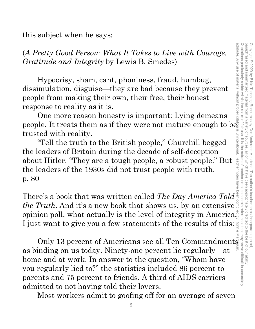this subject when he says:

(*A Pretty Good Person: What It Takes to Live with Courage, Gratitude and Integrity* by Lewis B. Smedes)

Hypocrisy, sham, cant, phoniness, fraud, humbug, dissimulation, disguise—they are bad because they prevent people from making their own, their free, their honest response to reality as it is.

One more reason honesty is important: Lying demeans people. It treats them as if they were not mature enough to be trusted with reality.

 "Tell the truth to the British people," Churchill begged the leaders of Britain during the decade of self-deception about Hitler. "They are a tough people, a robust people." But the leaders of the 1930s did not trust people with truth. p. 80

There's a book that was written called *The Day America Told the Truth*. And it's a new book that shows us, by an extensive opinion poll, what actually is the level of integrity in America. I just want to give you a few statements of the results of this: Ronnie

For ty Good Person: What It Takes to Live with Courage,<br>
itude and Integrity by Lewis B. Smedes)<br>
Hypocrisy, sham, cant, phoniness, fraud, humbug,<br>
imulation, disguise—they are bad because they prevent<br>
ble from making th as binding on us today. Ninety-one percent lie regularly—at home and at work. In answer to the question, "Whom have you regularly lied to?" the statistics included 86 percent to parents and 75 percent to friends. A third of AIDS carriers admitted to not having told their lovers.

Most workers admit to goofing off for an average of seven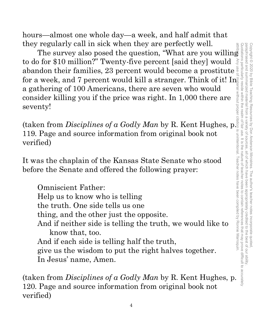hours—almost one whole day—a week, and half admit that they regularly call in sick when they are perfectly well.

to do for \$10 million?" Twenty-five percent [said they] would abandon their families, 23 percent would become a prostitute a gathering of 100 Americans, there are seven who would consider killing you if the price was right. In 1,000 there are seventy! attribute. Any use of material without proper citation is unintentional. Teacher notes have been compiled by Ronnie Marroquin.

(taken from *Disciplines of a Godly Man* by R. Kent Hughes, p. 119. Page and source information from original book not verified)

It was the chaplain of the Kansas State Senate who stood before the Senate and offered the following prayer:

reguariy call m sick when they are pertectly well.<br>The survey also posed the question, "What are you willing"<br>for \$10 million?" Twenty-five percent [said they] would  $\frac{3}{2}$ <br>undon their families, 23 percent would become for a week, and 7 percent would kill a stranger. Think of it! In a gathering of 100 Americans, there are seven who would<br>consider killing you if the price was right. In 1,000 there are seventy!<br>(taken from *Disciplines of* Omniscient Father: Help us to know who is telling the truth. One side tells us one thing, and the other just the opposite. And if neither side is telling the truth, we would like to know that, too. And if each side is telling half the truth, give us the wisdom to put the right halves together. In Jesus' name, Amen.

(taken from *Disciplines of a Godly Man* by R. Kent Hughes, p. 120. Page and source information from original book not verified)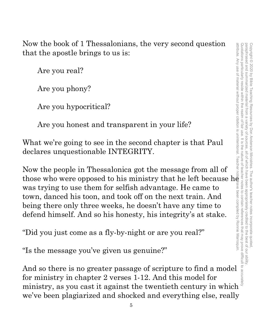Now the book of 1 Thessalonians, the very second question that the apostle brings to us is:

Are you real?

Are you phony?

Are you hypocritical?

Are you honest and transparent in your life?

What we're going to see in the second chapter is that Paul declares unquestionable INTEGRITY.

Now the people in Thessalonica got the message from all of those who were opposed to his ministry that he left because  $h\bar{\mathbf{e}}$ was trying to use them for selfish advantage. He came to town, danced his toon, and took off on the next train. And being there only three weeks, he doesn't have any time to defend himself. And so his honesty, his integrity's at stake. Now the book of 1 Thessalonians, the very second question  $\frac{1}{2}$ <br>
that the apostle brings to us is:<br>
Are you phony?<br>
Are you phony?<br>
Are you hypocritical?<br>
Are you hypocritical?<br>
Are you hypocritical?<br>
Are you hypocrit

"Did you just come as a fly-by-night or are you real?"

"Is the message you've given us genuine?"

And so there is no greater passage of scripture to find a model for ministry in chapter 2 verses 1-12. And this model for we've been plagiarized and shocked and everything else, really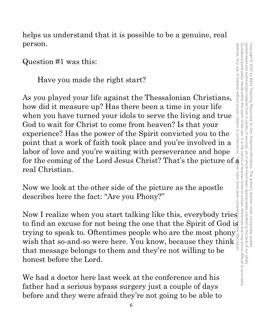helps us understand that it is possible to be a genuine, real person.

Question #1 was this:

Have you made the right start?

As you played your life against the Thessalonian Christians, how did it measure up? Has there been a time in your life when you have turned your idols to serve the living and true God to wait for Christ to come from heaven? Is that your experience? Has the power of the Spirit convicted you to the point that a work of faith took place and you're involved in a labor of love and you're waiting with perseverance and hope for the coming of the Lord Jesus Christ? That's the picture of  $\bar{\mathbf{a}}$  : real Christian. Question #1 was this:<br>
Have you made the right start?<br>
As you played your life against the Thessalonian Christians,<br>
how did it measure up? Has there been a time in your life<br>
when you have turned your ideas to seve the l

Now we look at the other side of the picture as the apostle describes here the fact: "Are you Phony?"

Now I realize when you start talking like this, everybody tries trying to speak to. Oftentimes people who are the most phony wish that so-and-so were here. You know, because they think that message belongs to them and they're not willing to be honest before the Lord.

We had a doctor here last week at the conference and his father had a serious bypass surgery just a couple of days before and they were afraid they're not going to be able to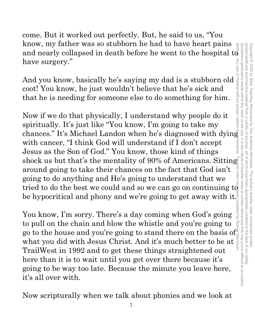come. But it worked out perfectly. But, he said to us, "You know, my father was so stubborn he had to have heart pains And you know, basically he's saying my dad is a stubborn old coot! You know, he just wouldn't believe that he's sick and that he is needing for someone else to do something for him.

know, my father was so stubborn he had to have heart pains<br>and nearly collapsed in death before he went to the hospital to<br>have surgery."<br>And you know, be just wouldn't believe that he's sick and<br>coot! You know, he just w Now if we do that physically, I understand why people do it spiritually. It's just like "You know, I'm going to take my chances." It's Michael Landon when he's diagnosed with dying with cancer, "I think God will understand if I don't accept Jesus as the Son of God." You know, those kind of things shock us but that's the mentality of 90% of Americans. Sitting around going to take their chances on the fact that God isn't going to do anything and He's going to understand that we tried to do the best we could and so we can go on continuing  $\mathbf{t} \tilde{\phi}$ be hypocritical and phony and we're going to get away with it.<sup>5</sup><br>You know, I'm sorry. There's a day coming when God's going attribute. Any use of material without proper citation is unintentional. Teacher notes have been compiled by Ronnie Marroquin.

have surgery."

You know, I'm sorry. There's a day coming when God's going to pull on the chain and blow the whistle and you're going to to pull on the chain and blow the whistle and you're going to  $\frac{3}{2}$  go to the house and you're going to stand there on the basis of what you did with Jesus Christ. And it's much better to be at  $\frac{3}{2}$ <br>The illustria what you did with Jesus Christ. And it's much better to be at TrailWest in 1992 and to get these things straightened out here than it is to wait until you get over there because it's going to be way too late. Because the minute you leave here, it's all over with.

Now scripturally when we talk about phonies and we look at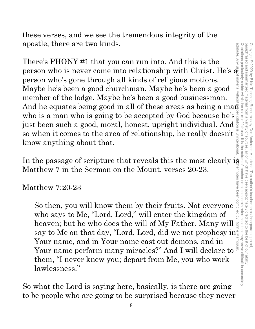paraphrased and summarized material from a attribute. Any use of material without proper citation is unintentional. Teacher notes have been compiled by Ronnie Marroquin.Quotations particularly reside within the realm of fair use. It is the nature of teacher notes to contain references that may prove difficult to accurately paraphrased and summarized material from a variety of sources, all of which have been appropriately credited to the best of our ability. Copyright<sup>©</sup> Copyright © 2020 by Bible Teaching Resources by Don Anderson Ministries. The author's teacher notes incorporate quoted, 2020 by Bible Teaching Resources variety of sources by Don Anderson Ministries. The author's teacher notes incorporate quoted all of Which have been appropriately credited to the best of our ability

these verses, and we see the tremendous integrity of the apostle, there are two kinds.

apostle, there are two kinds.<br>
There's PHONY #1 that you can run into. And this is the<br>
person who is never come into relationship with Christ. He's  $\frac{2}{3}$ <br>
person who's gone through all kinds of religious motions.<br>
Ma There's PHONY #1 that you can run into. And this is the person who is never come into relationship with Christ. He's  $\tilde{\mathbf{a}}_0^{\bar{\mathbb{R}}}$ material without person who's gone through all kinds of religious motions. Maybe he's been a good churchman. Maybe he's been a good member of the lodge. Maybe he's been a good businessman. who is a man who is going to be accepted by God because he's a just been such a good, moral, honest, upright individual. And just been such a good, moral, honest, upright individual. And  $\frac{2}{3}$  so when it comes to the area of relationship, he really doesn't  $\frac{2}{3}$  know anything about that. so when it comes to the area of relationship, he really doesn't know anything about that.

In the passage of scripture that reveals this the most clearly is Matthew 7 in the Sermon on the Mount, verses 20-23.

## Matthew 7:20-23

So then, you will know them by their fruits. Not everyone who says to Me, "Lord, Lord," will enter the kingdom of heaven; but he who does the will of My Father. Many will say to Me on that day, "Lord, Lord, did we not prophesy in Your name, and in Your name cast out demons, and in Your name perform many miracles?" And I will declare to them, "I never knew you; depart from Me, you who work lawlessness."

So what the Lord is saying here, basically, is there are going to be people who are going to be surprised because they never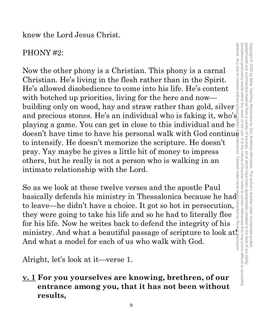knew the Lord Jesus Christ.

## PHONY #2:

Now the other phony is a Christian. This phony is a carnal Christian. He's living in the flesh rather than in the Spirit. He's allowed disobedience to come into his life. He's content with botched up priorities, living for the here and now building only on wood, hay and straw rather than gold, silver and precious stones. He's an individual who is faking it, who's playing a game. You can get in close to this individual and he PHONY #2:<br>
Now the other phony is a Christian. This phony is a carnal<br>
Christian. He's living in the flesh rather than in the Spirit.<br>
He's allowed disobedience to come into his life. He's content<br>
with botched up priorit to intensify. He doesn't memorize the scripture. He doesn't pray. Yay maybe he gives a little bit of money to impress others, but he really is not a person who is walking in an intimate relationship with the Lord. attribute. Any use of material without proper citation is unintentional. Teacher notes have been compiled by Ronnie Marroquin.

So as we look at these twelve verses and the apostle Paul basically defends his ministry in Thessalonica because he had to leave—he didn't have a choice. It got so hot in persecution,  $\frac{3}{5}$  they were going to take his life and so he had to literally flee they were going to take his life and so he had to literally flee for his life. Now he writes back to defend the integrity of his ministry. And what a beautiful passage of scripture to look at And what a model for each of us who walk with God.

Alright, let's look at it—verse 1.

**v. 1 For you yourselves are knowing, brethren, of our entrance among you, that it has not been without results,**

Copyright © 2020 by Bible Teaching Resources by Don Anderson Ministries. The author's teacher notes incorporate quoted,

Copyright © 2020 by Bible Teaching Resources by Don Anderson Ministries. The author's teacher notes incorporate quoted

paraphrased and summarized material from a variety of sources, all of which have been appropriately credited to the best of our ability.

all of which have been

appropriately credited to the best of our ability

paraphrased and summarized material from a variety of sources.

Quotations particularly reside within the realm of fair use. It is the nature of teacher notes to contain references that may prove difficult to accurately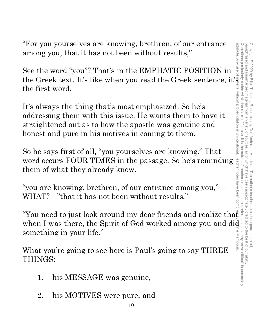"For you yourselves are knowing, brethren, of our entrance among you, that it has not been without results,"

See the word "you"? That's in the EMPHATIC POSITION in the Greek text. It's like when you read the Greek sentence, it's the first word.

It's always the thing that's most emphasized. So he's addressing them with this issue. He wants them to have it straightened out as to how the apostle was genuine and honest and pure in his motives in coming to them.

So he says first of all, "you yourselves are knowing." That word occurs FOUR TIMES in the passage. So he's reminding them of what they already know.

"you are knowing, brethren, of our entrance among you,"— WHAT?—"that it has not been without results,"

"You need to just look around my dear friends and realize tha $\ddot{\mathbf{t}}$ when I was there, the Spirit of God worked among you and did something in your life."

What you're going to see here is Paul's going to say THREE THINGS:

- 1. his MESSAGE was genuine,
- 2. his MOTIVES were pure, and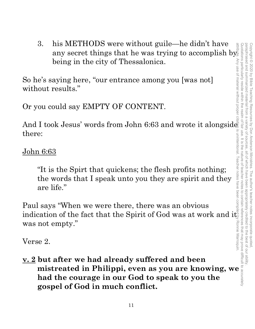3. his METHODS were without guile—he didn't have any secret things that he was trying to accomplish by any secret things that he was trying to accomplish by being in the city of Thessalonica.

So he's saying here, "our entrance among you [was not] without results."

Or you could say EMPTY OF CONTENT.

And I took Jesus' words from John 6:63 and wrote it alongside there:

John 6:63

"It is the Spirt that quickens; the flesh profits nothing; the words that I speak unto you they are spirit and they are life."

Paul says "When we were there, there was an obvious indication of the fact that the Spirit of God was at work and it $\frac{1}{\omega}$ was not empty."

Verse 2.

**v. 2 but after we had already suffered and been**  I took Jesus' words from John 6:63 and wrote it alongsides<br>
e:<br>  $\frac{16:63}{\frac{1}{2}}$ <br>
"It is the Spirt that quickens; the flesh profits nothing;<br>
the words that I speak unto you they are spirit and they<br>
are life."<br>
<br>
l says **had the courage in our God to speak to you the gospel of God in much conflict.**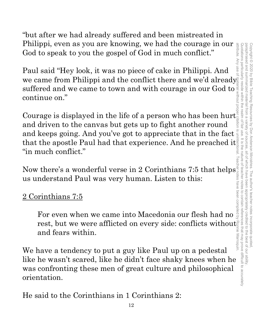"but after we had already suffered and been mistreated in Philippi, even as you are knowing, we had the courage in our  $\frac{a}{b}$ <br>God to speak to you the gospel of God in much conflict." God to speak to you the gospel of God in much conflict."

Paul said "Hey look, it was no piece of cake in Philippi. And we came from Philippi and the conflict there and we'd already suffered and we came to town and with courage in our God to continue on."

Courage is displayed in the life of a person who has been hurt and driven to the canvas but gets up to fight another round and keeps going. And you've got to appreciate that in the fact that the apostle Paul had that experience. And he preached it "in much conflict."

Now there's a wonderful verse in 2 Corinthians 7:5 that helps<br>
us understand Paul was very human. Listen to this:<br>
<u>2 Corinthians 7:5</u><br>
For even when we came into Macedonia our flesh had no us understand Paul was very human. Listen to this:

## 2 Corinthians 7:5

For even when we came into Macedonia our flesh had no rest, but we were afflicted on every side: conflicts without and fears within.

We have a tendency to put a guy like Paul up on a pedestal like he wasn't scared, like he didn't face shaky knees when he was confronting these men of great culture and philosophical orientation.

He said to the Corinthians in 1 Corinthians 2: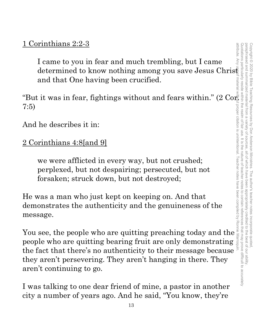## 1 Corinthians 2:2-3

attribute. Any attribute. Any use of material without proper citation is unintentional. Teacher notes have been compiled by Ronnie Marroquin.I came to you in fear and much trembling, but I came determined to know nothing among you save Jesus Christ determined to know nothing among you save Jesus Christ and that One having been crucified.

"But it was in fear, fightings without and fears within." (2  $\text{Co}_{\mathbb{F}}^{\mathbb{F}}$ ) 7:5)

And he describes it in:

2 Corinthians 4:8[and 9]

we were afflicted in every way, but not crushed; perplexed, but not despairing; persecuted, but not forsaken; struck down, but not destroyed;

He was a man who just kept on keeping on. And that demonstrates the authenticity and the genuineness of the message.

You see, the people who are quitting preaching today and the people who are quitting bearing fruit are only demonstrating the fact that there's no authenticity to their message because they aren't persevering. They aren't hanging in there. They aren't continuing to go.

I was talking to one dear friend of mine, a pastor in another city a number of years ago. And he said, "You know, they're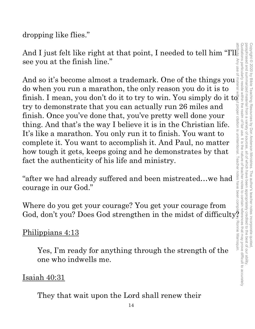paraphrased and summarized material from a variety of sources. attribute. Any use of material without proper citation is unintentional. Teacher notes have been compiled by Ronnie Marroquin.Quotations particularly reside within the realm of fair use. It is the nature of teacher notes to contain references that may prove difficult to accurately paraphrased and summarized material from a variety of sources, all of which have been appropriately credited to the best of our ability. Copyright © 2020 by Bible Teaching Resources by Don Anderson Ministries. The author's teacher notes incorporate quoted Copyright © 2020 by Bible Teaching Resources by Don Anderson Ministries. The author's teacher notes incorporate quoted, all of which have been appropriately credited to the best of our ability

dropping like flies."

And I just felt like right at that point, I needed to tell him "I'll see you at the finish line."

And so it's become almost a trademark. One of the things you do when you run a marathon, the only reason you do it is to finish. I mean, you don't do it to try to win. You simply do it to  $\bar{\bar{c}}$ try to demonstrate that you can actually run 26 miles and finish. Once you've done that, you've pretty well done your thing. And that's the way I believe it is in the Christian life. It's like a marathon. You only run it to finish. You want to complete it. You want to accomplish it. And Paul, no matter how tough it gets, keeps going and he demonstrates by that fact the authenticity of his life and ministry.

"after we had already suffered and been mistreated…we had courage in our God."

Where do you get your courage? You get your courage from God, don't you? Does God strengthen in the midst of difficulty.

## Philippians 4:13

Yes, I'm ready for anything through the strength of the one who indwells me.

## Isaiah 40:31

They that wait upon the Lord shall renew their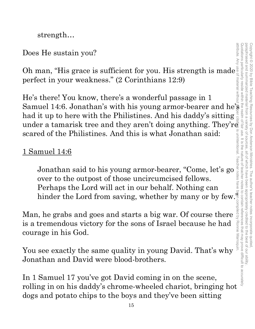attribute. Any use of material without proper citation is unintentional. Teacher notes have been compiled by Ronnie Marroquin.Quotations particularly reside within the realm of fair use. It is the nature of teacher notes to contain references that may prove difficult to accurately paraphrased and summarized material from a paraphrased and summarized material from a variety of sources, all of which have been appropriately credited to the best of our ability. Copyright<sup>©</sup> Copyright © 2020 by Bible Teaching Resources by Don Anderson Ministries. The author's teacher notes incorporate quoted, 2020 by Bible Teaching Resources by Don Anderson Ministries. The author's teacher notes incorporate quotec sources all of Which have been appropriately credited to the best of our ability

strength…

## Does He sustain you?

Oh man, "His grace is sufficient for you. His strength is made perfect in your weakness." (2 Corinthians 12:9)

He's there! You know, there's a wonderful passage in 1 Samuel 14:6. Jonathan's with his young armor-bearer and he's had it up to here with the Philistines. And his daddy's sitting under a tamarisk tree and they aren't doing anything. They'r $\bar{\bar{\mathfrak{E}}}$ scared of the Philistines. And this is what Jonathan said: is He sustain you?<br>
han, "His grace is sufficient for you. His strength is made for your meakness." (2 Corinthians 12:9)<br>
there! You know, there's a wonderful passage in 1<br>
it up to here with the Philistines. And his goun

## 1 Samuel 14:6

ed of the Philistines. And this is what Jonathan said:<br>
simuel 14:6<br>
Jonathan said to his young armor-bearer, "Come, let's go<br>
over to the outpost of those uncircumcised fellows.<br>
Perhaps the Lord will act in our behalf. over to the outpost of those uncircumcised fellows. Perhaps the Lord will act in our behalf. Nothing can

Man, he grabs and goes and starts a big war. Of course there is a tremendous victory for the sons of Israel because he had courage in his God.

You see exactly the same quality in young David. That's why Jonathan and David were blood-brothers.

In 1 Samuel 17 you've got David coming in on the scene, rolling in on his daddy's chrome-wheeled chariot, bringing hot dogs and potato chips to the boys and they've been sitting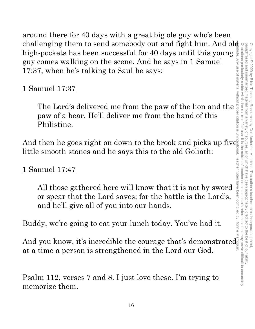around there for 40 days with a great big ole guy who's been challenging them to send somebody out and fight him. And old high-pockets has been successful for 40 days until this young guy comes walking on the scene. And he says in 1 Samuel 17:37, when he's talking to Saul he says:

## 1 Samuel 17:37

The Lord's delivered me from the paw of the lion and the paw of a bear. He'll deliver me from the hand of this Philistine.

And then he goes right on down to the brook and picks up five little smooth stones and he says this to the old Goliath:

## 1 Samuel 17:47

All those gathered here will know that it is not by sword or spear that the Lord saves; for the battle is the Lord's, and he'll give all of you into our hands.

Buddy, we're going to eat your lunch today. You've had it.

And you know, it's incredible the courage that's demonstrated And you know, it's incredible the courage that's demonstrated at a time a person is strengthened in the Lord our God.

Psalm 112, verses 7 and 8. I just love these. I'm trying to memorize them.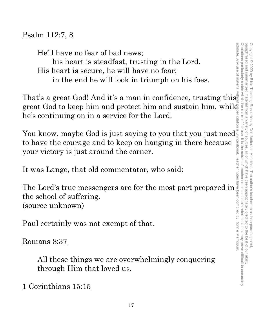Copyright © 2020 by Bible Teaching Resources by Don Anderson Ministries. The author's teacher notes incorporate quoted,

Copyright © 2020 by Bible Teaching Resources by Don Anderson Ministries. The author's teacher notes incorporate quoted

paraphrased and summarized material from a variety of sources, all of which have been appropriately credited to the best of our ability.

, all of which have been appropriately credited to the best of our ability

paraphrased and summarized material from a variety of sources

## Psalm 112:7, 8

He'll have no fear of bad news; his heart is steadfast, trusting in the Lord. His heart is secure, he will have no fear; in the end he will look in triumph on his foes.

That's a great God! And it's a man in confidence, trusting this great God to keep him and protect him and sustain him, while he's continuing on in a service for the Lord.

You know, maybe God is just saying to you that you just need to have the courage and to keep on hanging in there because your victory is just around the corner.

It was Lange, that old commentator, who said:

The Lord's true messengers are for the most part prepared in the school of suffering. (source unknown)

Paul certainly was not exempt of that.

Romans 8:37

All these things we are overwhelmingly conquering through Him that loved us.

1 Corinthians 15:15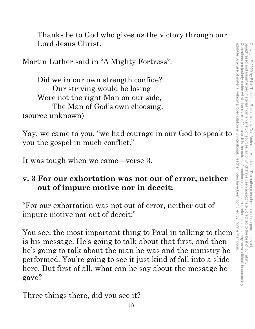Thanks be to God who gives us the victory through our Lord Jesus Christ.

Martin Luther said in "A Mighty Fortress":

Did we in our own strength confide? Our striving would be losing Were not the right Man on our side, The Man of God's own choosing. (source unknown)

Yay, we came to you, "we had courage in our God to speak to you the gospel in much conflict."

It was tough when we came—verse 3.

## **v. 3 For our exhortation was not out of error, neither out of impure motive nor in deceit;**

"For our exhortation was not out of error, neither out of impure motive nor out of deceit;"

You see, the most important thing to Paul in talking to them is his message. He's going to talk about that first, and then he's going to talk about the man he was and the ministry he performed. You're going to see it just kind of fall into a slide here. But first of all, what can he say about the message he gave?

Three things there, did you see it?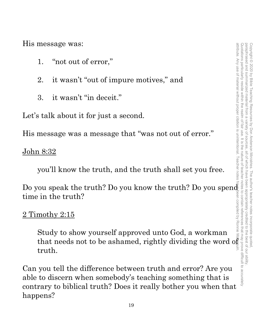His message was:

- 1. "not out of error,"
- 2. it wasn't "out of impure motives," and
- 3. it wasn't "in deceit."

Let's talk about it for just a second.

His message was a message that "was not out of error."

<u>John 8:32</u>

you'll know the truth, and the truth shall set you free.

Do you speak the truth? Do you know the truth? Do you spend time in the truth? attribute. Any use of material without proper citation is unintentional. Teacher notes have been compiled by Ronnie Marroquin.

2 Timothy 2:15

Study to show yourself approved unto God, a workman that needs not to be ashamed, rightly dividing the word of truth.

Can you tell the difference between truth and error? Are you able to discern when somebody's teaching something that is contrary to biblical truth? Does it really bother you when that happens?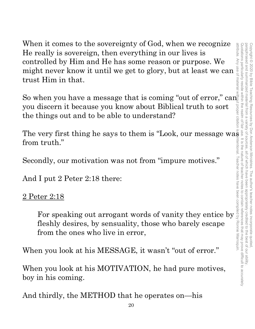When it comes to the sovereignty of God, when we recognize He really is sovereign, then everything in our lives is controlled by Him and He has some reason or purpose. We might never know it until we get to glory, but at least we can trust Him in that.

So when you have a message that is coming "out of error,"  $\text{can}$ you discern it because you know about Biblical truth to sort the things out and to be able to understand?

The very first thing he says to them is "Look, our message was from truth."

Secondly, our motivation was not from "impure motives."

And I put 2 Peter 2:18 there:

## 2 Peter 2:18

For speaking out arrogant words of vanity they entice by fleshly desires, by sensuality, those who barely escape from the ones who live in error,

When you look at his MESSAGE, it wasn't "out of error."

When you look at his MOTIVATION, he had pure motives, boy in his coming.

And thirdly, the METHOD that he operates on—his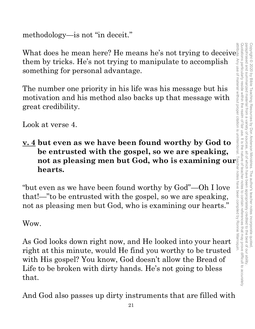methodology—is not "in deceit."

What does he mean here? He means he's not trying to deceive them by tricks. He's not trying to manipulate to accomplish something for personal advantage.

The number one priority in his life was his message but his motivation and his method also backs up that message with great credibility.

Look at verse 4.

**v. 4 but even as we have been found worthy by God to be entrusted with the gospel, so we are speaking, hearts.**

**not as pleasing men but God, who is examining our**  "but even as we have been found worthy by God"—Oh I love that!—"to be entrusted with the gospel, so we are speaking, not as pleasing men but God, who is examining our hearts."

Wow.

As God looks down right now, and He looked into your heart right at this minute, would He find you worthy to be trusted with His gospel? You know, God doesn't allow the Bread of Life to be broken with dirty hands. He's not going to bless that.

And God also passes up dirty instruments that are filled with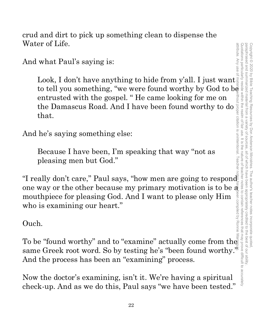crud and dirt to pick up something clean to dispense the Water of Life.

And what Paul's saying is:

Look, I don't have anything to hide from y'all. I just want to tell you something, "we were found worthy by God to be entrusted with the gospel. " He came looking for me on entrusted with the gospel. "He came looking for me on<br>the Damascus Road. And I have been found worthy to do<br>that.<br>he's saying something else:<br>Because I have been, I'm speaking that way "not as<br>pleasing men but God." that. Water of Life.<br>
And what Paul's saying is:<br>
Look, I don't have anything to hide from y'all. I just want<br>
to tell you something, "we were found worthy by God to be<br>
entrusted with the gospel. "He came looking for me on<br>
the attribute. Any use of material without proper citation is unintentional. Teacher notes have been compiled by Ronnie Marroquin.

And he's saying something else:

Because I have been, I'm speaking that way "not as pleasing men but God."

one way or the other because my primary motivation is to be a<br>mouthpiece for pleasing God. And I want to please only Him<br>who is examining our heart."<br>Ouch. mouthpiece for pleasing God. And I want to please only Him who is examining our heart."

Ouch.

To be "found worthy" and to "examine" actually come from the same Greek root word. So by testing he's "been found worthy." And the process has been an "examining" process.

Now the doctor's examining, isn't it. We're having a spiritual check-up. And as we do this, Paul says "we have been tested."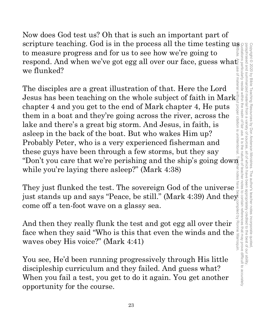Now does God test us? Oh that is such an important part of scripture teaching. God is in the process all the time testing us to measure progress and for us to see how we're going to respond. And when we've got egg all over our face, guess wha $\mathfrak t$ we flunked?

The disciples are a great illustration of that. Here the Lord Jesus has been teaching on the whole subject of faith in  $\text{Mark}^{\frac{1}{2}}$ chapter 4 and you get to the end of Mark chapter 4, He puts them in a boat and they're going across the river, across the lake and there's a great big storm. And Jesus, in faith, is asleep in the back of the boat. But who wakes Him up? Probably Peter, who is a very experienced fisherman and these guys have been through a few storms, but they say "Don't you care that we're perishing and the ship's going down while you're laying there asleep?" (Mark 4:38)

They just flunked the test. The sovereign God of the universe just stands up and says "Peace, be still." (Mark 4:39) And they come off a ten-foot wave on a glassy sea.

And then they really flunk the test and got egg all over their Face of a ten-foot wave on a glassy sea.<br>And then they really flunk the test and got egg all over their face when they said "Who is this that even the winds and the waves obey His voice?" (Mark 4:41) waves obey His voice?" (Mark 4:41)

You see, He'd been running progressively through His little discipleship curriculum and they failed. And guess what? When you fail a test, you get to do it again. You get another opportunity for the course.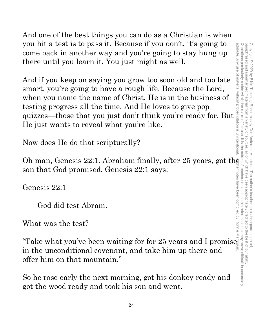And one of the best things you can do as a Christian is when you hit a test is to pass it. Because if you don't, it's going to come back in another way and you're going to stay hung up there until you learn it. You just might as well.

And if you keep on saying you grow too soon old and too late smart, you're going to have a rough life. Because the Lord, when you name the name of Christ, He is in the business of testing progress all the time. And He loves to give pop quizzes—those that you just don't think you're ready for. But He just wants to reveal what you're like.

Now does He do that scripturally?

Oh man, Genesis 22:1. Abraham finally, after 25 years, got the son that God promised. Genesis 22:1 says:

Genesis 22:1

God did test Abram.

What was the test?

"Take what you've been waiting for for 25 years and I promise in the unconditional covenant, and take him up there and offer him on that mountain."

So he rose early the next morning, got his donkey ready and got the wood ready and took his son and went.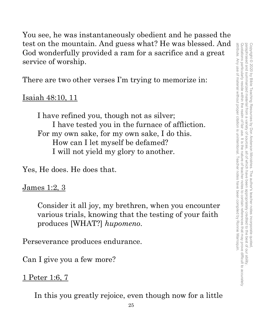You see, he was instantaneously obedient and he passed the test on the mountain. And guess what? He was blessed. And God wonderfully provided a ram for a sacrifice and a great service of worship.

There are two other verses I'm trying to memorize in:

## Isaiah 48:10, 11

I have refined you, though not as silver; I have tested you in the furnace of affliction. For my own sake, for my own sake, I do this. How can I let myself be defamed? I will not yield my glory to another.

Yes, He does. He does that.

## James 1:2, 3

Consider it all joy, my brethren, when you encounter various trials, knowing that the testing of your faith produces [WHAT?] *hupomeno*.

Perseverance produces endurance.

Can I give you a few more?

## 1 Peter 1:6, 7

In this you greatly rejoice, even though now for a little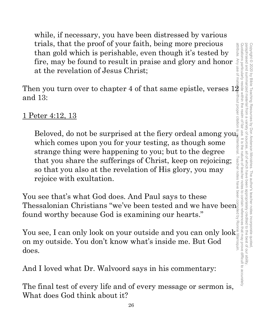while, if necessary, you have been distressed by various trials, that the proof of your faith, being more precious than gold which is perishable, even though it's tested by fire, may be found to result in praise and glory and honor at the revelation of Jesus Christ;

Then you turn over to chapter 4 of that same epistle, verses  $12$ and 13:

## 1 Peter 4:12, 13

Beloved, do not be surprised at the fiery ordeal among you<sub> $\frac{2}{3}$ </sub> which comes upon you for your testing, as though some strange thing were happening to you; but to the degree that you share the sufferings of Christ, keep on rejoicing; so that you also at the revelation of His glory, you may rejoice with exultation.

You see that's what God does. And Paul says to these Thessalonian Christians "we've been tested and we have been found worthy because God is examining our hearts."

You see, I can only look on your outside and you can only look on my outside. You don't know what's inside me. But God does.

And I loved what Dr. Walvoord says in his commentary:

The final test of every life and of every message or sermon is, What does God think about it?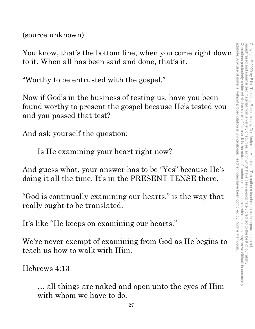(source unknown)

You know, that's the bottom line, when you come right down to it. When all has been said and done, that's it.

"Worthy to be entrusted with the gospel."

Now if God's in the business of testing us, have you been found worthy to present the gospel because He's tested you and you passed that test?

And ask yourself the question:

Is He examining your heart right now?

And guess what, your answer has to be "Yes" because He's doing it all the time. It's in the PRESENT TENSE there.

"God is continually examining our hearts," is the way that really ought to be translated.

It's like "He keeps on examining our hearts."

We're never exempt of examining from God as He begins to teach us how to walk with Him.

Hebrews 4:13

… all things are naked and open unto the eyes of Him with whom we have to do.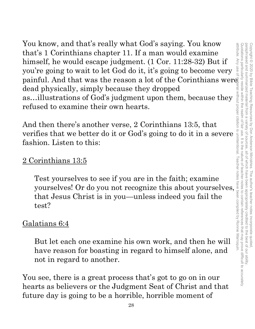You know, and that's really what God's saying. You know that's 1 Corinthians chapter 11. If a man would examine himself, he would escape judgment. (1 Cor. 11:28-32) But if you're going to wait to let God do it, it's going to become very painful. And that was the reason a lot of the Corinthians were dead physically, simply because they dropped as…illustrations of God's judgment upon them, because they refused to examine their own hearts.

And then there's another verse, 2 Corinthians 13:5, that verifies that we better do it or God's going to do it in a severe fashion. Listen to this:

## 2 Corinthians 13:5

Test yourselves to see if you are in the faith; examine yourselves! Or do you not recognize this about yourselves, that Jesus Christ is in you—unless indeed you fail the test?

## Galatians 6:4

But let each one examine his own work, and then he will have reason for boasting in regard to himself alone, and not in regard to another.

You see, there is a great process that's got to go on in our hearts as believers or the Judgment Seat of Christ and that future day is going to be a horrible, horrible moment of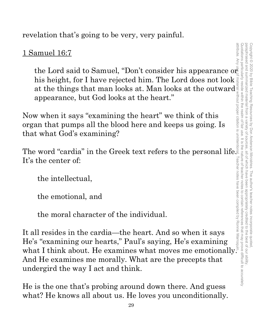revelation that's going to be very, very painful.

## 1 Samuel 16:7

his height, for I have rejected him. The Lord does not look at the things that man looks at. Man looks at the outward appearance, but God looks at the heart."

Now when it says "examining the heart" we think of this organ that pumps all the blood here and keeps us going. Is that what God's examining?

The word "cardia" in the Greek text refers to the personal life. It's the center of:

the intellectual,

the emotional, and

the moral character of the individual.

amuel 16:7<br>
the Lord said to Samuel, "Don't consider his appearance or the thing that the thing that man looks at the actric<br>
appearance, but God looks at the heart."<br>
when it says "examining the heart" we think of this<br> It all resides in the cardia—the heart. And so when it says He's "examining our hearts," Paul's saying, He's examining what I think about. He examines what moves me emotionally. And He examines me morally. What are the precepts that undergird the way I act and think.

He is the one that's probing around down there. And guess what? He knows all about us. He loves you unconditionally.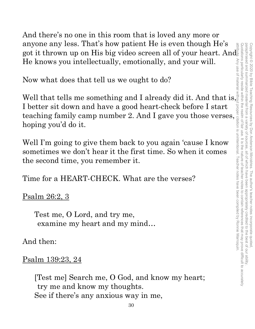And there's no one in this room that is loved any more or anyone any less. That's how patient He is even though He's anyone any less. That's how patient He is even though He's  $\frac{1}{2}$  got it thrown up on His big video screen all of your heart. And He knows you intellectually, emotionally, and your will.

Now what does that tell us we ought to do?

Well that tells me something and I already did it. And that is, I better sit down and have a good heart-check before I start I better sit down and have a good heart-check before I start<br>teaching family camp number 2. And I gave you those verses,<br>hoping you'd do it.<br>Well I'm going to give them back to you again 'cause I know<br>sometimes we don't h hoping you'd do it.

Well I'm going to give them back to you again 'cause I know sometimes we don't hear it the first time. So when it comes the second time, you remember it.

Time for a HEART-CHECK. What are the verses?

Psalm 26:2, 3

Test me, O Lord, and try me, examine my heart and my mind…

And then:

Psalm 139:23, 24

[Test me] Search me, O God, and know my heart; try me and know my thoughts. See if there's any anxious way in me,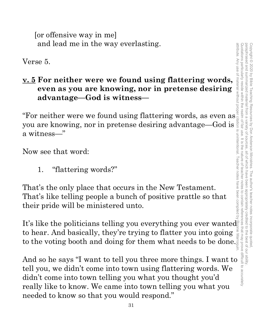[or offensive way in me] and lead me in the way everlasting.

Verse 5.

## **v. 5 For neither were we found using flattering words, even as you are knowing, nor in pretense desiring advantage—God is witness—**  For neither were we found using flattering words,<br>  $\frac{1}{2}$ <br>  $\frac{1}{2}$ <br>  $\frac{1}{2}$ <br>  $\frac{1}{2}$ <br>  $\frac{1}{2}$ <br>  $\frac{1}{2}$ <br>  $\frac{1}{2}$ <br>  $\frac{1}{2}$ <br>  $\frac{1}{2}$ <br>  $\frac{1}{2}$ <br>  $\frac{1}{2}$ <br>  $\frac{1}{2}$ <br>  $\frac{1}{2}$ <br>  $\frac{1}{2}$ <br>  $\frac{1}{2}$ <br>  $\frac{1$

you are knowing, nor in pretense desiring advantage—God is a witness—"

Now see that word:

1. "flattering words?"

That's the only place that occurs in the New Testament. That's like telling people a bunch of positive prattle so that their pride will be ministered unto.

It's like the politicians telling you everything you ever wanted to hear. And basically, they're trying to flatter you into going to hear. And basically, they re trying to flatter you into going  $\frac{1}{2}$  to the voting booth and doing for them what needs to be done. attribute. Any use of material without proper citation is unintentional. Teacher notes have been compiled by Ronnie Marroquin.

And so he says "T want to tell you what you then we say of the same of the same of the same of the same of the same of the same of the same of the same of the same of the same of the same of the same of the same of the sa tell you, we didn't come into town using flattering words. We didn't come into town telling you what you thought you'd really like to know. We came into town telling you what you needed to know so that you would respond."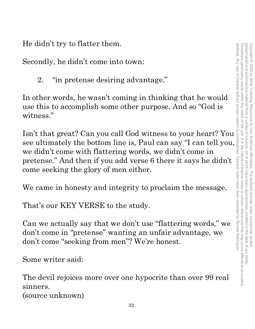He didn't try to flatter them.

Secondly, he didn't come into town:

2. "in pretense desiring advantage."

In other words, he wasn't coming in thinking that he would use this to accomplish some other purpose. And so "God is witness."

Is dualy to matter them.<br>
Secondly, he didn't come into town:<br>
2. "in pretense desiring advantage."<br>
In other words, he wasn't coming in thinking that he would<br>
use this to accomplish some other purpose. And so "God is<br>
wi see ultimately the bottom line is, Paul can say "I can tell you, we didn't come with flattering words, we didn't come in pretense." And then if you add verse 6 there it says he didn't come seeking the glory of men either.

We came in honesty and integrity to proclaim the message.

That's our KEY VERSE to the study.

Can we actually say that we don't use "flattering words," we don't come in "pretense" wanting an unfair advantage, we don't come "seeking from men"? We're honest.

Some writer said:

The devil rejoices more over one hypocrite than over 99 real sinners.

(source unknown)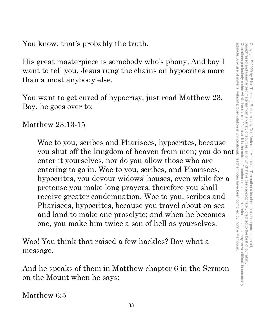You know, that's probably the truth.

His great masterpiece is somebody who's phony. And boy I want to tell you, Jesus rung the chains on hypocrites more than almost anybody else.

You want to get cured of hypocrisy, just read Matthew 23. Boy, he goes over to:

## Matthew 23:13-15

Woe to you, scribes and Pharisees, hypocrites, because know, that s probably the truth.<br>
great masterpiece is somebody who's phony. And boy I<br>
t to tell you, Jesus rung the chains on hypocrites more<br>
almost anybody else.<br>
want to get cured of hypocrisy, just read Matthew 23.<br> enter it yourselves, nor do you allow those who are entering to go in. Woe to you, scribes, and Pharisees, hypocrites, you devour widows' houses, even while for a pretense you make long prayers; therefore you shall receive greater condemnation. Woe to you, scribes and Pharisees, hypocrites, because you travel about on sea and land to make one proselyte; and when he becomes one, you make him twice a son of hell as yourselves.

Woo! You think that raised a few hackles? Boy what a message.

And he speaks of them in Matthew chapter 6 in the Sermon on the Mount when he says:

Matthew 6:5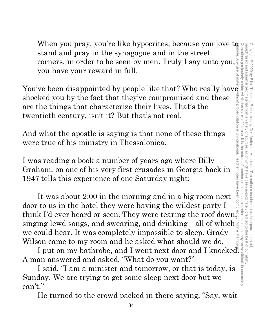attribute. Any use of material without proper citation is unintentional. Teacher notes have been compiled by Ronnie Marroquin.Quotations particularly reside within the realm of fair use. It is the nature of teacher notes to contain references that may prove difficult to accurately paraphrased and summarized material from a variety of sources, all of which have been appropriately credited to the best of our ability. Copyright © 2020 by Bible Teaching Resources Copyright © 2020 by Bible Teaching Resources by Don Anderson Ministries. The author's teacher notes incorporate quoted, by Don Anderson Ministries. The author's teacher notes incorporate quoted

When you pray, you're like hypocrites; because you love to stand and pray in the synagogue and in the street corners, in order to be seen by men. Truly I say unto you, you have your reward in full.

You've been disappointed by people like that? Who really have shocked you by the fact that they've compromised and these are the things that characterize their lives. That's the twentieth century, isn't it? But that's not real.

And what the apostle is saying is that none of these things were true of his ministry in Thessalonica.

I was reading a book a number of years ago where Billy Graham, on one of his very first crusades in Georgia back in 1947 tells this experience of one Saturday night:

It was about 2:00 in the morning and in a big room next door to us in the hotel they were having the wildest party I think I'd ever heard or seen. They were tearing the roof down, singing lewd songs, and swearing, and drinking—all of which we could hear. It was completely impossible to sleep. Grady Wilson came to my room and he asked what should we do.

I put on my bathrobe, and I went next door and I knocked. A man answered and asked, "What do you want?"

I said, "I am a minister and tomorrow, or that is today, is Sunday. We are trying to get some sleep next door but we can't."

He turned to the crowd packed in there saying, "Say, wait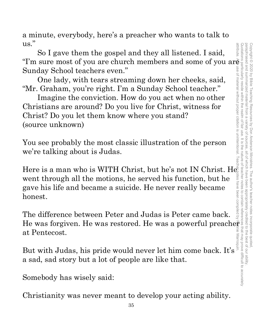Using the most of you are church members and some of you are church members and some of you are Sunday School teachers even."<br>
One lady, with tears streaming down her checks, said,<br>
"Mr. Graham, you're right. I'm a Sunday paraphrased and summarized material from a attribute. Any use of material without proper citation is unintentional. Teacher notes have been compiled by Ronnie Marroquin.attribute Quotations particularly reside within the realm of fair use. It is the nature of teacher notes to contain references that may prove difficult to accurately paraphrased and summarized material from a variety of sources, all of which have been appropriately credited to the best of our ability. Copyright © 2020 by Bible Teaching Resources Copyright © 2020 by Bible Teaching Resources by Don Anderson Ministries. The author's teacher notes incorporate quoted, variety of by Don Anderson Ministries all of which have been appropriately . The author's teacher notes credited to the best of our ability nocrporate quotec

a minute, everybody, here's a preacher who wants to talk to us."

So I gave them the gospel and they all listened. I said, Sunday School teachers even."

One lady, with tears streaming down her cheeks, said, "Mr. Graham, you're right. I'm a Sunday School teacher."

Imagine the conviction. How do you act when no other Christians are around? Do you live for Christ, witness for Christ? Do you let them know where you stand? (source unknown)

You see probably the most classic illustration of the person we're talking about is Judas.

Here is a man who is WITH Christ, but he's not IN Christ. He went through all the motions, he served his function, but he gave his life and became a suicide. He never really became honest.

The difference between Peter and Judas is Peter came back. He was forgiven. He was restored. He was a powerful preacher at Pentecost at Pentecost.

at rentecost.<br>Exercise<br>But with Judas, his pride would never let him come back. It's a sad, sad story but a lot of people are like that.

Somebody has wisely said:

Christianity was never meant to develop your acting ability.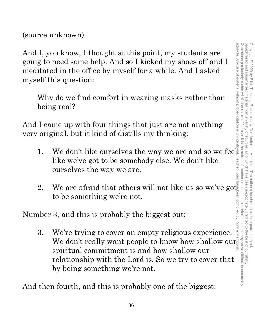(source unknown)

And I, you know, I thought at this point, my students are going to need some help. And so I kicked my shoes off and I meditated in the office by myself for a while. And I asked myself this question:

Why do we find comfort in wearing masks rather than being real?

And I came up with four things that just are not anything very original, but it kind of distills my thinking:

- 1. We don't like ourselves the way we are and so we fee like we've got to be somebody else. We don't like ourselves the way we are.
- 2. We are afraid that others will not like us so we've got to be something we're not.

Number 3, and this is probably the biggest out:

3. We're trying to cover an empty religious experience. We re trying to cover an empty religious experience.  $\frac{1}{2}$ <br>We don't really want people to know how shallow our spiritual commitment is and how shallow our relationship with the Lord is. So we try to cover that by being something we're not.

And then fourth, and this is probably one of the biggest: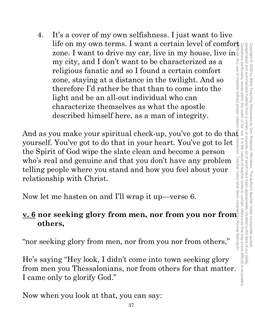4. It's a cover of my own selfishness. I just want to live life on my own terms. I want a certain level of comfort  $\frac{1}{2}$ zone. I want to drive my car, live in my house, live in my city, and I don't want to be characterized as a religious fanatic and so I found a certain comfort zone, staying at a distance in the twilight. And so therefore I'd rather be that than to come into the light and be an all-out individual who can characterize themselves as what the apostle described himself here, as a man of integrity. zone. I want to drive my car, live in my house, live in  $\frac{1}{2}$  my city, and I don't want to be characterized as a<br>religious fanatic and so I found a certain comfort<br>zone, staying at a distance in the twilight. And so<br>t

yourself. You've got to do that in your heart. You've got to let the Spirit of God wipe the slate clean and become a person who's real and genuine and that you don't have any problem telling people where you stand and how you feel about your relationship with Christ.

Now let me hasten on and I'll wrap it up—verse 6.

## **v. 6 nor seeking glory from men, nor from you nor from others,**

"nor seeking glory from men, nor from you nor from others,"

He's saying "Hey look, I didn't come into town seeking glory from men you Thessalonians, nor from others for that matter. I came only to glorify God."

Now when you look at that, you can say: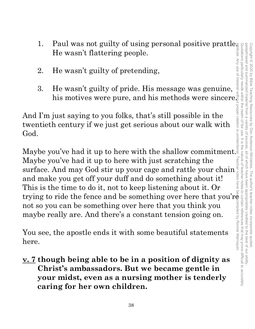- 1. Paul was not guilty of using personal positive prattle. He wasn't flattering people.
- 2. He wasn't guilty of pretending,
- 3. He wasn't guilty of pride. His message was genuine, his motives were pure, and his methods were sincere.

And I'm just saying to you folks, that's still possible in the twentieth century if we just get serious about our walk with God.

Maybe you've had it up to here with the shallow commitment. Maybe you've had it up to here with just scratching the surface. And may God stir up your cage and rattle your chain and make you get off your duff and do something about it! This is the time to do it, not to keep listening about it. Or trying to ride the fence and be something over here that you're not so you can be something over here that you think you maybe really are. And there's a constant tension going on.

You see, the apostle ends it with some beautiful statements here.

**v. 7 though being able to be in a position of dignity as Christ's ambassadors. But we became gentle in your midst, even as a nursing mother is tenderly caring for her own children.**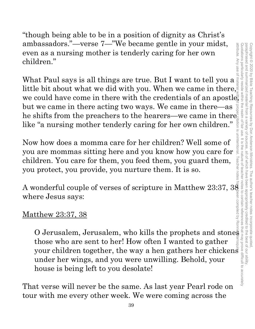"though being able to be in a position of dignity as Christ's ambassadors."—verse 7—"We became gentle in your midst, even as a nursing mother is tenderly caring for her own children."

What Paul says is all things are true. But I want to tell you a little bit about what we did with you. When we came in there, ambassadors. —verse 7— we became gentle in your midst,<br>
even as a nursing mother is tenderly caring for her own<br>
children."<br>
What Paul says is all things are true. But I want to tell you a<br>
little bit about what we did wi but we came in there acting two ways. We came in there—as he shifts from the preachers to the hearers—we came in there $\frac{a}{2}$ like "a nursing mother tenderly caring for her own children."

Now how does a momma care for her children? Well some of you are mommas sitting here and you know how you care for children. You care for them, you feed them, you guard them, you protect, you provide, you nurture them. It is so.

A wonderful couple of verses of scripture in Matthew 23:37, 38  $\,$ where Jesus says:

## <u>Matthew 23:37, 38</u>

O Jerusalem, Jerusalem, who kills the prophets and stones those who are sent to her! How often I wanted to gather your children together, the way a hen gathers her chickens under her wings, and you were unwilling. Behold, your house is being left to you desolate!

That verse will never be the same. As last year Pearl rode on tour with me every other week. We were coming across the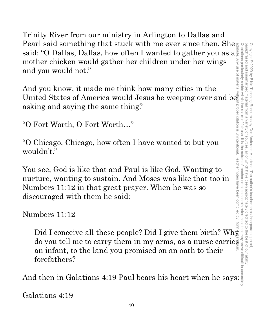Trinity River from our ministry in Arlington to Dallas and Pearl said something that stuck with me ever since then. She said: "O Dallas, Dallas, how often I wanted to gather you as a said: "O Dallas, Dallas, how often I wanted to gather you as a mother chicken would gather her children under her wings and you would not." Quotations particularly reside within the realm of fair use. It is the nature of teacher notes to contain references that may prove difficult to accurately attribute. Any use of material without proper citation is unintentional. Teacher notes have been compiled by Ronnie Marroquin.

And you know, it made me think how many cities in the United States of America would Jesus be weeping over and be asking and saying the same thing?

"O Fort Worth, O Fort Worth…"

"O Chicago, Chicago, how often I have wanted to but you wouldn't."

Copyright © 2020 by Bible Teaching Resources by Don Anderson Ministries. The author's teacher notes incorporate quoted,

Copyright © 2020 by Bible Teaching Resources by Don Anderson Ministries. The author's teacher notes incorporate quotec

paraphrased and summarized material from a variety of sources, all of which have been appropriately credited to the best of our ability.

all of which have been

appropriately

credited

to the best of our ability

sources

variety of

paraphrased and summarized material from a

You see, God is like that and Paul is like God. Wanting to nurture, wanting to sustain. And Moses was like that too in Numbers 11:12 in that great prayer. When he was so discouraged with them he said:

## Numbers 11:12

Did I conceive all these people? Did I give them birth? Wh $\bar{\mathbb{F}}$ do you tell me to carry them in my arms, as a nurse carries an infant, to the land you promised on an oath to their forefathers?

And then in Galatians 4:19 Paul bears his heart when he says:

Galatians 4:19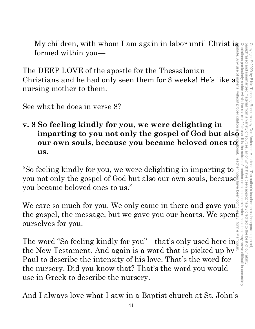paraphrased and Quotations particularly reside within the realm of fair use. It is the nature of teacher notes to contain references that may prove difficult to accurately paraphrased and summarized material from a variety of sources, all of which have been appropriately credited to the best of our ability. Copyright<sup>©</sup> Copyright © 2020 by Bible Teaching Resources by Don Anderson Ministries. The author's teacher notes incorporate quoted, 2020 by Bible summarized material **Teaching Resources** by Don Anderson Ministries all of Which have been . The author's teacher notes incorporate quotec appropriately credited to the best of our ability

My children, with whom I am again in labor until Christ is formed within you—

The DEEP LOVE of the apostle for the Thessalonian Christians and he had only seen them for 3 weeks! He's like a nursing mother to them.

See what he does in verse 8?

# **v. 8 So feeling kindly for you, we were delighting in our own souls, because you became beloved ones to all us. us.**  attribute. Any use of material without proper citation is unintentional. Teacher notes have been compiled by Ronnie Marroquin.

"So feeling kindly for you, we were delighting in imparting to you not only the gospel of God but also our own souls, because  $\bar{\mathbb{S}}$ you became beloved ones to us."

We care so much for you. We only came in there and gave you<sup>s</sup> the gospel, the message, but we gave you our hearts. We spent ourselves for you.

**imparting to you not only the gospel of God but also our own souls, because you became beloved ones to us.**<br> **is also our own souls, because you became beloved ones to us.**<br> **is also our own souls, because beloved ones to** The word "So feeling kindly for you"—that's only used here in the New Testament. And again is a word that is picked up by Paul to describe the intensity of his love. That's the word for the nursery. Did you know that? That's the word you would use in Greek to describe the nursery.

And I always love what I saw in a Baptist church at St. John's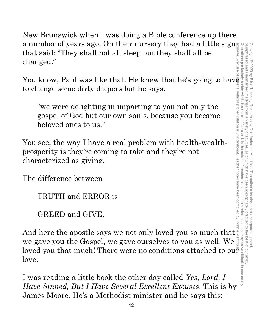New Brunswick when I was doing a Bible conference up there a number of years ago. On their nursery they had a little sign that said: "They shall not all sleep but they shall all be changed."

You know, Paul was like that. He knew that he's going to have to change some dirty diapers but he says:

"we were delighting in imparting to you not only the gospel of God but our own souls, because you became beloved ones to us."

You see, the way I have a real problem with health-wealthprosperity is they're coming to take and they're not characterized as giving.

The difference between

TRUTH and ERROR is

GREED and GIVE.

And here the apostle says we not only loved you so much that we gave you the Gospel, we gave ourselves to you as well. We a number of years ago. On their nursery they had a little signal<br>that said: "They shall not all sleep but they shall all be<br>changed."<br>You know, Paul was like that. He knew that he's going to have<br>to change some dirty diap love.

I was reading a little book the other day called *Yes, Lord, I Have Sinned, But I Have Several Excellent Excuses*. This is by James Moore. He's a Methodist minister and he says this: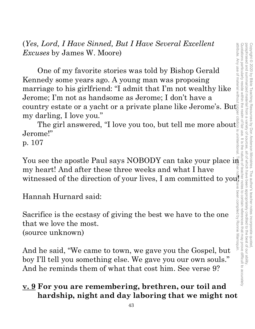(*Yes, Lord, I Have Sinned, But I Have Several Excellent Excuses* by James W. Moore)

One of my favorite stories was told by Bishop Gerald Kennedy some years ago. A young man was proposing marriage to his girlfriend: "I admit that I'm not wealthy like Jerome; I'm not as handsome as Jerome; I don't have a (res, Lora, 1 Have Sinnea, But 1 Have Several Excellent<br>
Excuses by James W. Moore)<br>
One of my favorite stories was told by Bishop Gerald<br>
Kennedy some years ago. A young man was proposing<br>
marriage to his girlfriend: "I my darling, I love you."

darling, I love you."<br>The girl answered, "I love you too, but tell me more about Jerome!"

p. 107

You see the apostle Paul says NOBODY can take your place in my heart! And after these three weeks and what I have

Hannah Hurnard said:

Sacrifice is the ecstasy of giving the best we have to the one that we love the most. (source unknown)

my heart! And after these three weeks and what I have<br>witnessed of the direction of your lives, I am committed to you<sup>1</sup><br>Hannah Hurnard said:<br>Sacrifice is the ecstasy of giving the best we have to the one<br>that we love the And he said, "We came to town, we gave you the Gospel, but boy I'll tell you something else. We gave you our own souls." And he reminds them of what that cost him. See verse 9?

## **v. 9 For you are remembering, brethren, our toil and hardship, night and day laboring that we might not**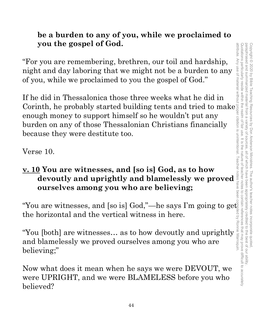## **be a burden to any of you, while we proclaimed to you the gospel of God.**

"For you are remembering, brethren, our toil and hardship, night and day laboring that we might not be a burden to any of you, while we proclaimed to you the gospel of God."

If he did in Thessalonica those three weeks what he did in Corinth, he probably started building tents and tried to make enough money to support himself so he wouldn't put any burden on any of those Thessalonian Christians financially because they were destitute too.

Verse 10.

## **v. 10 You are witnesses, and [so is] God, as to how devoutly and uprightly and blamelessly we proved ourselves among you who are believing;**

"You are witnesses, and [so is] God,"—he says I'm going to get the horizontal and the vertical witness in here.

"You [both] are witnesses… as to how devoutly and uprightly and blamelessly we proved ourselves among you who are believing;"

Now what does it mean when he says we were DEVOUT, we were UPRIGHT, and we were BLAMELESS before you who believed?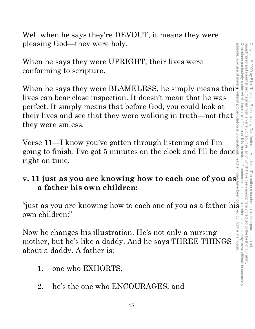Well when he says they're DEVOUT, it means they were pleasing God—they were holy.

When he says they were UPRIGHT, their lives were conforming to scripture.

When he says they were BLAMELESS, he simply means their lives can bear close inspection. It doesn't mean that he was perfect. It simply means that before God, you could look at their lives and see that they were walking in truth—not that they were sinless.

Verse 11—I know you've gotten through listening and I'm going to finish. I've got 5 minutes on the clock and I'll be done right on time.

## **v. 11 just as you are knowing how to each one of you as a father his own children:**

"just as you are knowing how to each one of you as a father his own children:"

Now he changes his illustration. He's not only a nursing mother, but he's like a daddy. And he says THREE THINGS about a daddy. A father is:

- 1. one who EXHORTS,
- 2. he's the one who ENCOURAGES, and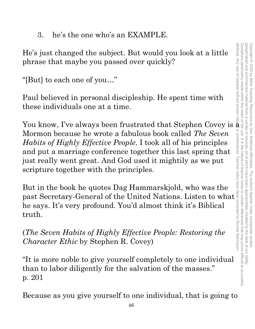3. he's the one who's an EXAMPLE.

He's just changed the subject. But would you look at a little phrase that maybe you passed over quickly?

"[But] to each one of you…"

Paul believed in personal discipleship. He spent time with these individuals one at a time.

You know, I've always been frustrated that Stephen Covey is  $\bar{\tilde{\mathbf{a}}}$  : Mormon because he wrote a fabulous book called *The Seven Habits of Highly Effective People*. I took all of his principles and put a marriage conference together this last spring that just really went great. And God used it mightily as we put scripture together with the principles.

But in the book he quotes Dag Hammarskjold, who was the past Secretary-General of the United Nations. Listen to what he says. It's very profound. You'd almost think it's Biblical truth.

(*The Seven Habits of Highly Effective People: Restoring the Character Ethic* by Stephen R. Covey)

"It is more noble to give yourself completely to one individual than to labor diligently for the salvation of the masses." p. 201

Because as you give yourself to one individual, that is going to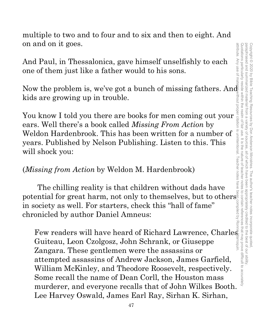multiple to two and to four and to six and then to eight. And on and on it goes.

And Paul, in Thessalonica, gave himself unselfishly to each one of them just like a father would to his sons.

Now the problem is, we've got a bunch of missing fathers. And kids are growing up in trouble.

You know I told you there are books for men coming out your ears. Well there's a book called *Missing From Action* by Weldon Hardenbrook. This has been written for a number of years. Published by Nelson Publishing. Listen to this. This will shock you:

## (*Missing from Action* by Weldon M. Hardenbrook)

The chilling reality is that children without dads have potential for great harm, not only to themselves, but to others $\frac{8}{3}$ in society as well. For starters, check this "hall of fame" chronicled by author Daniel Amneus:

Few readers will have heard of Richard Lawrence, Charles Guiteau, Leon Czolgosz, John Schrank, or Giuseppe Zangara. These gentlemen were the assassins or attempted assassins of Andrew Jackson, James Garfield, William McKinley, and Theodore Roosevelt, respectively. Some recall the name of Dean Corll, the Houston mass murderer, and everyone recalls that of John Wilkes Booth. Lee Harvey Oswald, James Earl Ray, Sirhan K. Sirhan,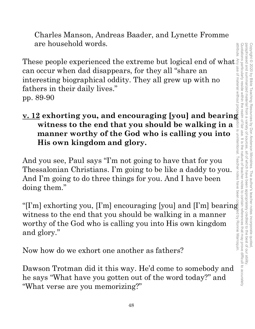Charles Manson, Andreas Baader, and Lynette Fromme are household words.

are nousenoid words.<br>These people experienced the extreme but logical end of what can occur when dad disappears, for they all "share an interesting biographical oddity. They all grew up with no fathers in their daily lives." pp. 89-90

## **v. 12 exhorting you, and encouraging [you] and bearing witness to the end that you should be walking in a manner worthy of the God who is calling you into His own kingdom and glory.**

And you see, Paul says "I'm not going to have that for you Thessalonian Christians. I'm going to be like a daddy to you. And I'm going to do three things for you. And I have been doing them."

"[I'm] exhorting you, [I'm] encouraging [you] and [I'm] bearing witness to the end that you should be walking in a manner worthy of the God who is calling you into His own kingdom and glory."

Now how do we exhort one another as fathers?

Dawson Trotman did it this way. He'd come to somebody and he says "What have you gotten out of the word today?" and "What verse are you memorizing?"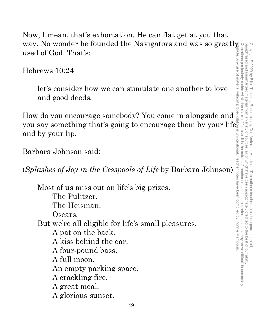Now, I mean, that's exhortation. He can flat get at you that way. No wonder he founded the Navigators and was so greatly used of God. That's:

Hebrews 10:24

let's consider how we can stimulate one another to love and good deeds,

How do you encourage somebody? You come in alongside and you say something that's going to encourage them by your life and by your lip.

Barbara Johnson said:

(*Splashes of Joy in the Cesspools of Life* by Barbara Johnson)

Most of us miss out on life's big prizes. The Pulitzer. The Heisman. Oscars. But we're all eligible for life's small pleasures. A pat on the back. A kiss behind the ear. A four-pound bass. A full moon. An empty parking space. A crackling fire. A great meal. A glorious sunset.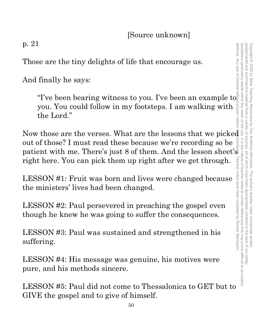[Source unknown]

p. 21

Those are the tiny delights of life that encourage us.

And finally he says:

"I've been bearing witness to you. I've been an example to you. You could follow in my footsteps. I am walking with the Lord."

The been bearing witness to you. I've been an example to you, You could follow in my footsteps. I am walking with the Lord."<br>
Now those are the verses. What are the lessons that we picked with the could of those? I must r out of those? I must read these because we're recording so be patient with me. There's just 8 of them. And the lesson sheet's right here. You can pick them up right after we get through.

LESSON #1: Fruit was born and lives were changed because the ministers' lives had been changed.

LESSON #2: Paul persevered in preaching the gospel even though he knew he was going to suffer the consequences.

LESSON #3: Paul was sustained and strengthened in his suffering.

LESSON #4: His message was genuine, his motives were pure, and his methods sincere.

LESSON #5: Paul did not come to Thessalonica to GET but to GIVE the gospel and to give of himself.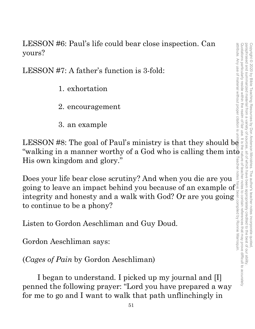LESSON #6: Paul's life could bear close inspection. Can yours?

LESSON #7: A father's function is 3-fold:

- 1. exhortation
- 2. encouragement
- 3. an example

attribute. Any use of material without proper citation is unintentional. Teacher notes have been compiled by Ronnie Marroquin.LESSON #8: The goal of Paul's ministry is that they should  $b\bar{e}$ Teacher notes His own kingdom and glory."

LESSON #8: The goal of Paul's ministry is that they should be<br>
"walking in a manner worthy of a God who is calling them into  $\frac{1}{2}$ <br>
His own kingdom and glory."<br>
Does your life bear close scrutiny? And when you die are Does your life bear close scrutiny? And when you die are you going to leave an impact behind you because of an example of integrity and honesty and a walk with God? Or are you going is to continue to be a phony?<br>Listen to Gordon Aeschliman and Guy Doud.<br>Gordon Aeschliman says: integrity and honesty and a walk with God? Or are you going to continue to be a phony?

Listen to Gordon Aeschliman and Guy Doud.

Gordon Aeschliman says:

(*Cages of Pain* by Gordon Aeschliman)

I began to understand. I picked up my journal and [I] penned the following prayer: "Lord you have prepared a way for me to go and I want to walk that path unflinchingly in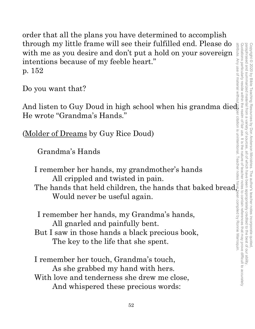order that all the plans you have determined to accomplish through my little frame will see their fulfilled end. Please do with me as you desire and don't put a hold on your sovereign intentions because of my feeble heart." p. 152

Do you want that?

And listen to Guy Doud in high school when his grandma died. He wrote "Grandma's Hands."

(Molder of Dreams by Guy Rice Doud)

Grandma's Hands

I remember her hands, my grandmother's hands All crippled and twisted in pain. The hands that held children, the hands that baked bread, Would never be useful again.

I remember her hands, my Grandma's hands, All gnarled and painfully bent. But I saw in those hands a black precious book, The key to the life that she spent.

I remember her touch, Grandma's touch, As she grabbed my hand with hers. With love and tenderness she drew me close, And whispered these precious words: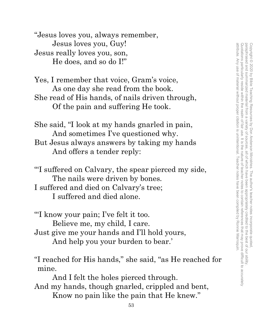"Jesus loves you, always remember, Jesus loves you, Guy! Jesus really loves you, son, He does, and so do I!"

Yes, I remember that voice, Gram's voice, As one day she read from the book. She read of His hands, of nails driven through, Of the pain and suffering He took.

She said, "I look at my hands gnarled in pain, And sometimes I've questioned why. But Jesus always answers by taking my hands And offers a tender reply:

"'I suffered on Calvary, the spear pierced my side, The nails were driven by bones. I suffered and died on Calvary's tree; I suffered and died alone.

"'I know your pain; I've felt it too. Believe me, my child, I care. Just give me your hands and I'll hold yours, And help you your burden to bear.'

"I reached for His hands," she said, "as He reached for mine.

 And I felt the holes pierced through. And my hands, though gnarled, crippled and bent, Know no pain like the pain that He knew."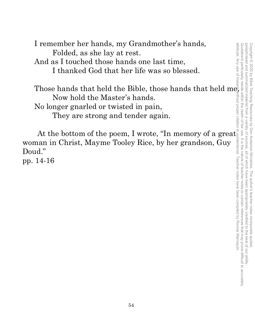I remember her hands, my Grandmother's hands, Folded, as she lay at rest. And as I touched those hands one last time, I thanked God that her life was so blessed.

Those hands that held the Bible, those hands that held me Now hold the Master's hands. No longer gnarled or twisted in pain, They are strong and tender again.

At the bottom of the poem, I wrote, "In memory of a great $\widetilde{\mathsf{g}}$ woman in Christ, Mayme Tooley Rice, by her grandson, Guy Doud."

pp. 14-16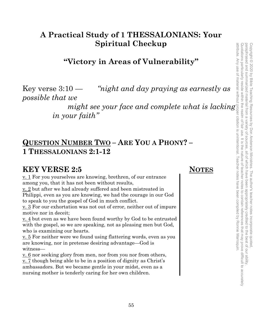## **A Practical Study of 1 THESSALONIANS: Your Spiritual Checkup**

## **"Victory in Areas of Vulnerability"**

Key verse  $3:10$  — *"night and day praying as earnestly as possible that we* 

> *might see your face and complete what is lacking in your faith"*

## **QUESTION NUMBER TWO – ARE YOU A PHONY? – 1 THESSALONIANS 2:1-12**

## **KEY VERSE 2:5 NOTES**

v. 1 For you yourselves are knowing, brethren, of our entrance among you, that it has not been without results,

v. 2 but after we had already suffered and been mistreated in Philippi, even as you are knowing, we had the courage in our God to speak to you the gospel of God in much conflict.

v. 3 For our exhortation was not out of error, neither out of impure motive nor in deceit;

v. 4 but even as we have been found worthy by God to be entrusted with the gospel, so we are speaking, not as pleasing men but God, who is examining our hearts.

v. 5 For neither were we found using flattering words, even as you are knowing, nor in pretense desiring advantage—God is witness—

v. 6 nor seeking glory from men, nor from you nor from others, v. 7 though being able to be in a position of dignity as Christ's ambassadors. But we became gentle in your midst, even as a nursing mother is tenderly caring for her own children.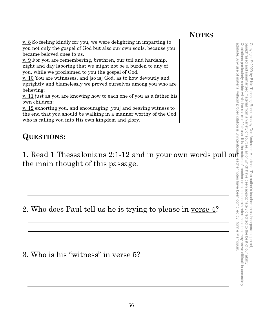**NOTES**

v. 8 So feeling kindly for you, we were delighting in imparting to you not only the gospel of God but also our own souls, because you became beloved ones to us.

<u>v. 9</u> For you are remembering, brethren, our toil and hardship, night and day laboring that we might not be a burden to any of you, while we proclaimed to you the gospel of God.

v. 10 You are witnesses, and [so is] God, as to how devoutly and uprightly and blamelessly we proved ourselves among you who are believing;

<u>v. 11</u> just as you are knowing how to each one of you as a father his own children:

v. 12 exhorting you, and encouraging [you] and bearing witness to the end that you should be walking in a manner worthy of the God who is calling you into His own kingdom and glory.

## **QUESTIONS:**

1. Read  $1$  Thessalonians 2:1-12 and in your own words pull out the main thought of this passage.

2. Who does Paul tell us he is trying to please in verse  $\frac{4}{3}$ ?

3. Who is his "witness" in verse 5?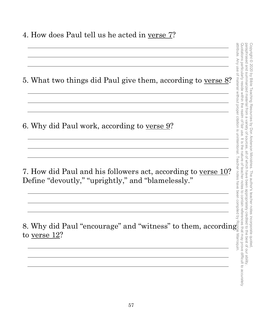4. How does Paul tell us he acted in verse 7?

| 5. What two things did Paul give them, according to verse 8?                                                        |
|---------------------------------------------------------------------------------------------------------------------|
| 6. Why did Paul work, according to verse 9?                                                                         |
| 7. How did Paul and his followers act, according to verse 10?<br>Define "devoutly," "uprightly," and "blamelessly." |
| 8. Why did Paul "encourage" and "witness" to them, according<br>to verse 12?                                        |

Quotations particularly reside within the realm of fair use. It is the nature of teacher notes to contain references that may prove difficult to accurately paraphrased and summarized material from a variety of sources, all of which have been appropriately credited to the best of our ability. Copyright © 2020 by Bible Teaching Resources by Don Anderson Ministries. The author's teacher notes incorporate quoted, Quotations particularly reside within the realm of fair use. It is the nature of teacher notes to contain references that may prove difficult to accurately paraphrased and summarized material from a variety of sources, all of which have been appropriately credited to the best of our ability. Copyright © 2020 by Bible Teaching Resources by Don Anderson Ministries. The author's teacher notes incorporate quoted,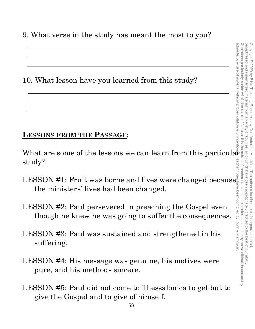9. What verse in the study has meant the most to you?

10. What lesson have you learned from this study?

## **LESSONS FROM THE PASSAGE:**

What are some of the lessons we can learn from this particular  $\frac{1}{2}$ study?

- $\text{LESSON}\,\#1\text{: } \text{Fruit}$  was borne and lives were changed because $\frac{3}{2}$ the ministers' lives had been changed.
- LESSON #2: Paul persevered in preaching the Gospel even though he knew he was going to suffer the consequences.
- LESSON #3: Paul was sustained and strengthened in his suffering.
- LESSON #4: His message was genuine, his motives were pure, and his methods sincere.
- LESSON #5: Paul did not come to Thessalonica to get but to give the Gospel and to give of himself.